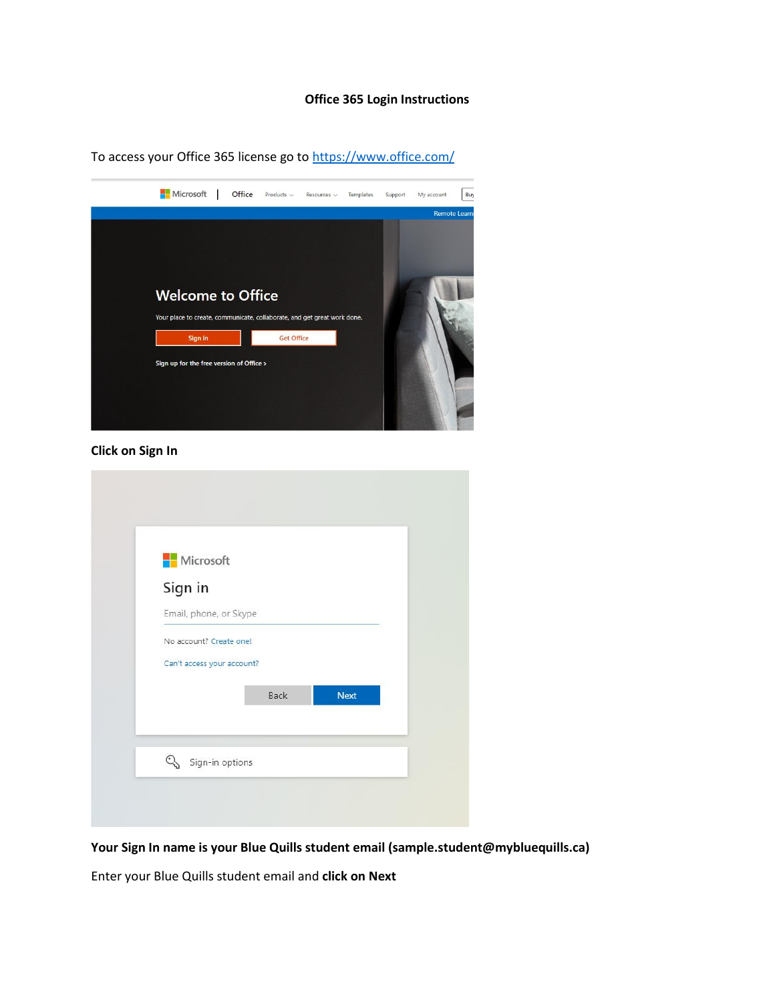## **Office 365 Login Instructions**

To access your Office 365 license go t[o https://www.office.com/](https://www.office.com/)



**Click on Sign In**

| <b>Nicrosoft</b><br>Sign in |      |             |  |
|-----------------------------|------|-------------|--|
| Email, phone, or Skype      |      |             |  |
| No account? Create one!     |      |             |  |
| Can't access your account?  |      |             |  |
|                             | Back | <b>Next</b> |  |

**Your Sign In name is your Blue Quills student email (sample.student@mybluequills.ca)**

Enter your Blue Quills student email and **click on Next**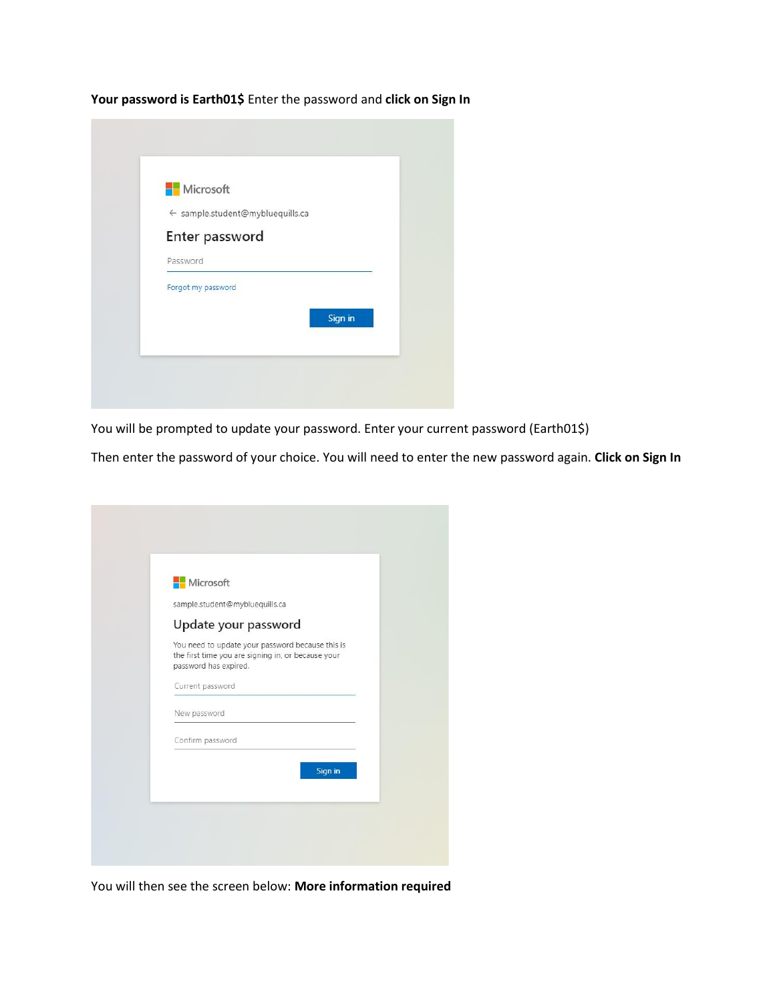**Your password is Earth01\$** Enter the password and **click on Sign In**



You will be prompted to update your password. Enter your current password (Earth01\$)

Then enter the password of your choice. You will need to enter the new password again. **Click on Sign In**

| Microsoft                      |                                                                                                        |         |
|--------------------------------|--------------------------------------------------------------------------------------------------------|---------|
| sample.student@mybluequills.ca |                                                                                                        |         |
| Update your password           |                                                                                                        |         |
| password has expired.          | You need to update your password because this is<br>the first time you are signing in, or because your |         |
| Current password               |                                                                                                        |         |
| New password                   |                                                                                                        |         |
| Confirm password               |                                                                                                        |         |
|                                |                                                                                                        | Sign in |
|                                |                                                                                                        |         |

You will then see the screen below: **More information required**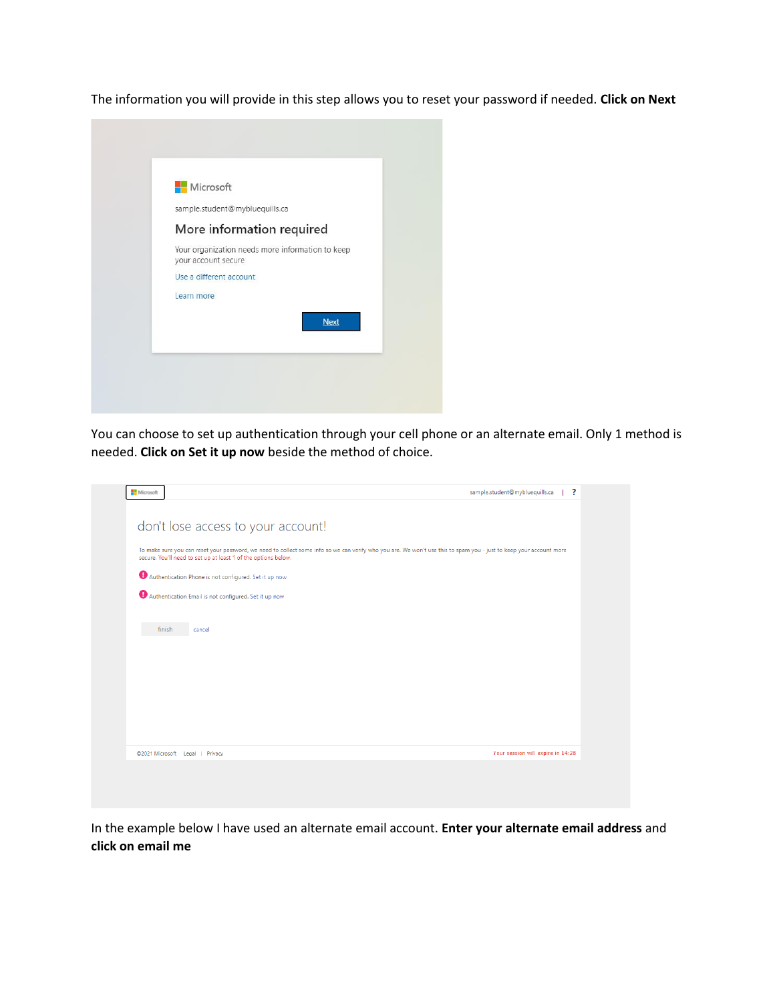The information you will provide in this step allows you to reset your password if needed. **Click on Next**



You can choose to set up authentication through your cell phone or an alternate email. Only 1 method is needed. **Click on Set it up now** beside the method of choice.

| $\overline{\mathbf{r}}$<br>sample.student@mybluequills.ca<br>Microsoft<br>don't lose access to your account!<br>To make sure you can reset your password, we need to collect some info so we can verify who you are. We won't use this to spam you - just to keep your account more<br>secure. You'll need to set up at least 1 of the options below.<br>Authentication Phone is not configured. Set it up now<br>Authentication Email is not configured. Set it up now<br>finish<br>cancel |
|---------------------------------------------------------------------------------------------------------------------------------------------------------------------------------------------------------------------------------------------------------------------------------------------------------------------------------------------------------------------------------------------------------------------------------------------------------------------------------------------|
|                                                                                                                                                                                                                                                                                                                                                                                                                                                                                             |
|                                                                                                                                                                                                                                                                                                                                                                                                                                                                                             |
|                                                                                                                                                                                                                                                                                                                                                                                                                                                                                             |
|                                                                                                                                                                                                                                                                                                                                                                                                                                                                                             |
|                                                                                                                                                                                                                                                                                                                                                                                                                                                                                             |
|                                                                                                                                                                                                                                                                                                                                                                                                                                                                                             |
|                                                                                                                                                                                                                                                                                                                                                                                                                                                                                             |
|                                                                                                                                                                                                                                                                                                                                                                                                                                                                                             |
|                                                                                                                                                                                                                                                                                                                                                                                                                                                                                             |
|                                                                                                                                                                                                                                                                                                                                                                                                                                                                                             |
|                                                                                                                                                                                                                                                                                                                                                                                                                                                                                             |
|                                                                                                                                                                                                                                                                                                                                                                                                                                                                                             |
|                                                                                                                                                                                                                                                                                                                                                                                                                                                                                             |
|                                                                                                                                                                                                                                                                                                                                                                                                                                                                                             |
|                                                                                                                                                                                                                                                                                                                                                                                                                                                                                             |
|                                                                                                                                                                                                                                                                                                                                                                                                                                                                                             |
|                                                                                                                                                                                                                                                                                                                                                                                                                                                                                             |
| Your session will expire in 14:28                                                                                                                                                                                                                                                                                                                                                                                                                                                           |
| ©2021 Microsoft Legal   Privacy                                                                                                                                                                                                                                                                                                                                                                                                                                                             |

In the example below I have used an alternate email account. **Enter your alternate email address** and **click on email me**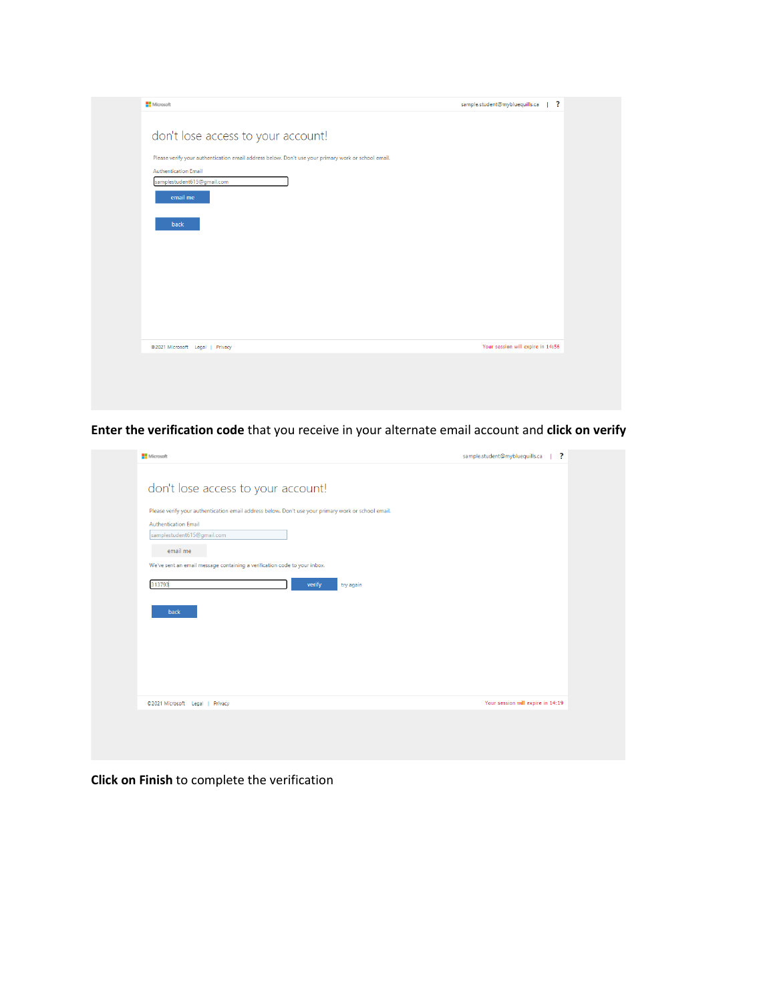| <b>Microsoft</b>                                                                                    | sample.student@mybluequills.ca<br>$\perp$ ? |
|-----------------------------------------------------------------------------------------------------|---------------------------------------------|
|                                                                                                     |                                             |
| don't lose access to your account!                                                                  |                                             |
| Please verify your authentication email address below. Don't use your primary work or school email. |                                             |
| <b>Authentication Email</b><br>samplestudent615@gmail.com                                           |                                             |
| email me                                                                                            |                                             |
|                                                                                                     |                                             |
| back                                                                                                |                                             |
|                                                                                                     |                                             |
|                                                                                                     |                                             |
|                                                                                                     |                                             |
|                                                                                                     |                                             |
|                                                                                                     |                                             |
|                                                                                                     |                                             |
|                                                                                                     |                                             |
| @2021 Microsoft Legal   Privacy                                                                     | Your session will expire in 14:56           |

**Enter the verification code** that you receive in your alternate email account and **click on verify**

| Microsoft                                                                                           | ?<br>sample.student@mybluequills.ca |
|-----------------------------------------------------------------------------------------------------|-------------------------------------|
| don't lose access to your account!                                                                  |                                     |
| Please verify your authentication email address below. Don't use your primary work or school email. |                                     |
| <b>Authentication Email</b>                                                                         |                                     |
| samplestudent615@gmail.com                                                                          |                                     |
| email me                                                                                            |                                     |
| We've sent an email message containing a verification code to your inbox.                           |                                     |
|                                                                                                     |                                     |
| 313793<br>verify<br>try again                                                                       |                                     |
| back                                                                                                |                                     |
|                                                                                                     |                                     |
|                                                                                                     |                                     |
|                                                                                                     |                                     |
|                                                                                                     |                                     |
|                                                                                                     |                                     |
|                                                                                                     |                                     |
|                                                                                                     | Your session will expire in 14:19   |

**Click on Finish** to complete the verification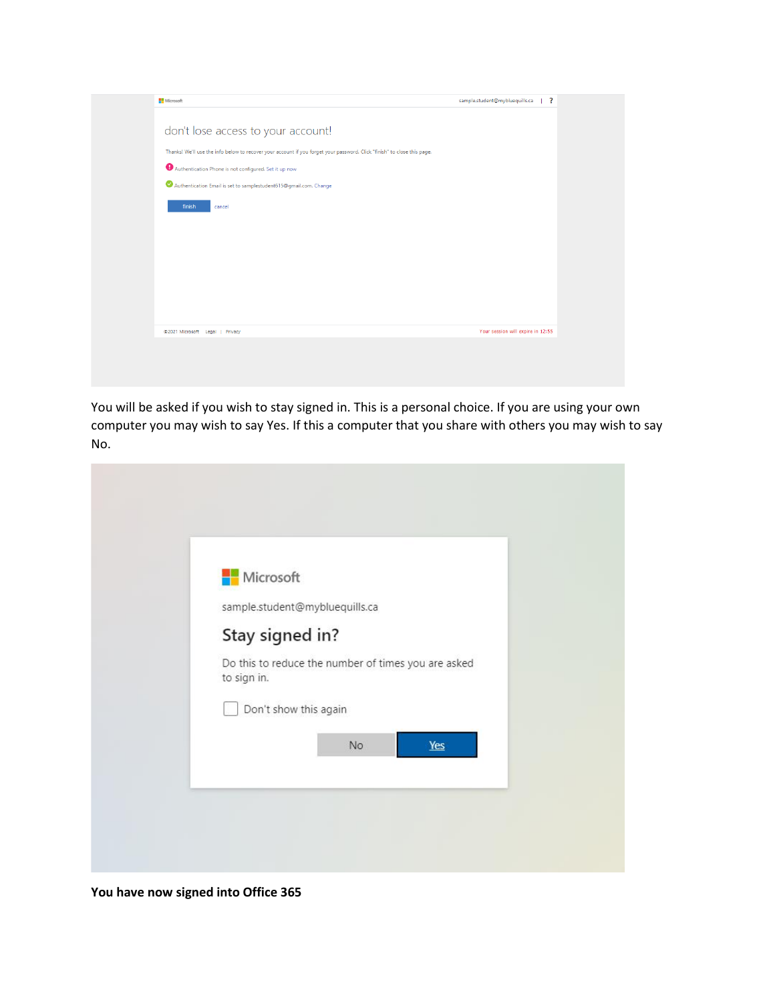| Microsoft                                                                                                                | $\blacksquare$ ?<br>sample.student@mybluequills.ca |
|--------------------------------------------------------------------------------------------------------------------------|----------------------------------------------------|
| don't lose access to your account!                                                                                       |                                                    |
| Thanks! We'll use the info below to recover your account if you forget your password. Click "finish" to close this page. |                                                    |
| Authentication Phone is not configured. Set it up now                                                                    |                                                    |
| Authentication Email is set to samplestudent615@gmail.com. Change                                                        |                                                    |
| finish<br>cancel                                                                                                         |                                                    |
|                                                                                                                          |                                                    |
|                                                                                                                          |                                                    |
|                                                                                                                          |                                                    |
|                                                                                                                          |                                                    |
|                                                                                                                          |                                                    |
|                                                                                                                          |                                                    |
| @2021 Microsoft Legal   Privacy                                                                                          | Your session will expire in 12:55                  |
|                                                                                                                          |                                                    |
|                                                                                                                          |                                                    |
|                                                                                                                          |                                                    |

You will be asked if you wish to stay signed in. This is a personal choice. If you are using your own computer you may wish to say Yes. If this a computer that you share with others you may wish to say No.

| Microsoft       |                                                     |
|-----------------|-----------------------------------------------------|
|                 | sample.student@mybluequills.ca                      |
| Stay signed in? |                                                     |
| to sign in.     | Do this to reduce the number of times you are asked |
|                 | Don't show this again                               |
|                 | Yes<br>No                                           |
|                 |                                                     |

**You have now signed into Office 365**